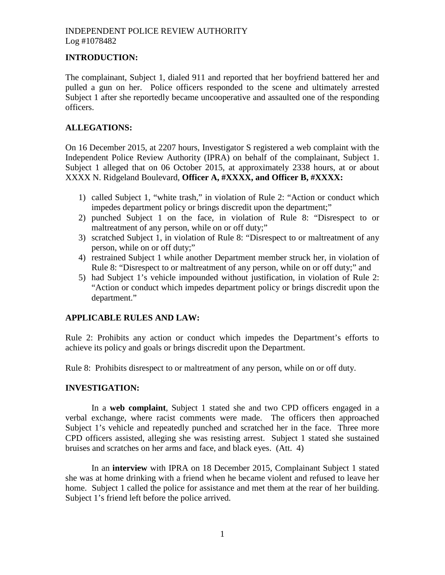### **INTRODUCTION:**

The complainant, Subject 1, dialed 911 and reported that her boyfriend battered her and pulled a gun on her. Police officers responded to the scene and ultimately arrested Subject 1 after she reportedly became uncooperative and assaulted one of the responding officers.

### **ALLEGATIONS:**

On 16 December 2015, at 2207 hours, Investigator S registered a web complaint with the Independent Police Review Authority (IPRA) on behalf of the complainant, Subject 1. Subject 1 alleged that on 06 October 2015, at approximately 2338 hours, at or about XXXX N. Ridgeland Boulevard, **Officer A, #XXXX, and Officer B, #XXXX:**

- 1) called Subject 1, "white trash," in violation of Rule 2: "Action or conduct which impedes department policy or brings discredit upon the department;"
- 2) punched Subject 1 on the face, in violation of Rule 8: "Disrespect to or maltreatment of any person, while on or off duty;"
- 3) scratched Subject 1, in violation of Rule 8: "Disrespect to or maltreatment of any person, while on or off duty;"
- 4) restrained Subject 1 while another Department member struck her, in violation of Rule 8: "Disrespect to or maltreatment of any person, while on or off duty;" and
- 5) had Subject 1's vehicle impounded without justification, in violation of Rule 2: "Action or conduct which impedes department policy or brings discredit upon the department."

# **APPLICABLE RULES AND LAW:**

Rule 2: Prohibits any action or conduct which impedes the Department's efforts to achieve its policy and goals or brings discredit upon the Department.

Rule 8: Prohibits disrespect to or maltreatment of any person, while on or off duty.

### **INVESTIGATION:**

In a **web complaint**, Subject 1 stated she and two CPD officers engaged in a verbal exchange, where racist comments were made. The officers then approached Subject 1's vehicle and repeatedly punched and scratched her in the face. Three more CPD officers assisted, alleging she was resisting arrest. Subject 1 stated she sustained bruises and scratches on her arms and face, and black eyes. (Att. 4)

In an **interview** with IPRA on 18 December 2015, Complainant Subject 1 stated she was at home drinking with a friend when he became violent and refused to leave her home. Subject 1 called the police for assistance and met them at the rear of her building. Subject 1's friend left before the police arrived.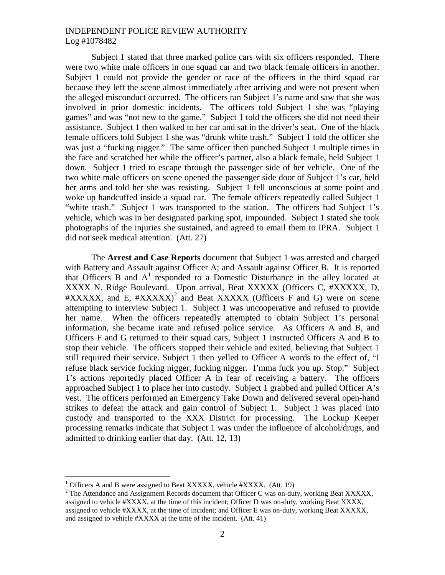Subject 1 stated that three marked police cars with six officers responded. There were two white male officers in one squad car and two black female officers in another. Subject 1 could not provide the gender or race of the officers in the third squad car because they left the scene almost immediately after arriving and were not present when the alleged misconduct occurred. The officers ran Subject 1's name and saw that she was involved in prior domestic incidents. The officers told Subject 1 she was "playing games" and was "not new to the game." Subject 1 told the officers she did not need their assistance. Subject 1 then walked to her car and sat in the driver's seat. One of the black female officers told Subject 1 she was "drunk white trash." Subject 1 told the officer she was just a "fucking nigger." The same officer then punched Subject 1 multiple times in the face and scratched her while the officer's partner, also a black female, held Subject 1 down. Subject 1 tried to escape through the passenger side of her vehicle. One of the two white male officers on scene opened the passenger side door of Subject 1's car, held her arms and told her she was resisting. Subject 1 fell unconscious at some point and woke up handcuffed inside a squad car. The female officers repeatedly called Subject 1 "white trash." Subject 1 was transported to the station. The officers had Subject 1's vehicle, which was in her designated parking spot, impounded. Subject 1 stated she took photographs of the injuries she sustained, and agreed to email them to IPRA. Subject 1 did not seek medical attention. (Att. 27)

The **Arrest and Case Reports** document that Subject 1 was arrested and charged with Battery and Assault against Officer A; and Assault against Officer B. It is reported thatOfficers B and  $A<sup>1</sup>$  responded to a Domestic Disturbance in the alley located at XXXX N. Ridge Boulevard. Upon arrival, Beat XXXXX (Officers C, #XXXXX, D,  $\#XXXXX$ , and E,  $\#XXXXXX$ <sup>[2](#page-1-1)</sup> and Beat XXXXX (Officers F and G) were on scene attempting to interview Subject 1. Subject 1 was uncooperative and refused to provide her name. When the officers repeatedly attempted to obtain Subject 1's personal information, she became irate and refused police service. As Officers A and B, and Officers F and G returned to their squad cars, Subject 1 instructed Officers A and B to stop their vehicle. The officers stopped their vehicle and exited, believing that Subject 1 still required their service. Subject 1 then yelled to Officer A words to the effect of, "I refuse black service fucking nigger, fucking nigger. I'mma fuck you up. Stop." Subject 1's actions reportedly placed Officer A in fear of receiving a battery. The officers approached Subject 1 to place her into custody. Subject 1 grabbed and pulled Officer A's vest. The officers performed an Emergency Take Down and delivered several open-hand strikes to defeat the attack and gain control of Subject 1. Subject 1 was placed into custody and transported to the XXX District for processing. The Lockup Keeper processing remarks indicate that Subject 1 was under the influence of alcohol/drugs, and admitted to drinking earlier that day. (Att. 12, 13)

<span id="page-1-1"></span><span id="page-1-0"></span><sup>&</sup>lt;sup>1</sup> Officers A and B were assigned to Beat XXXXX, vehicle  $\#XXXX$ . (Att. 19)

<sup>&</sup>lt;sup>2</sup> The Attendance and Assignment Records document that Officer C was on-duty, working Beat XXXXX, assigned to vehicle #XXXX, at the time of this incident; Officer D was on-duty, working Beat XXXX, assigned to vehicle #XXXX, at the time of incident; and Officer E was on-duty, working Beat XXXXX, and assigned to vehicle #XXXX at the time of the incident. (Att. 41)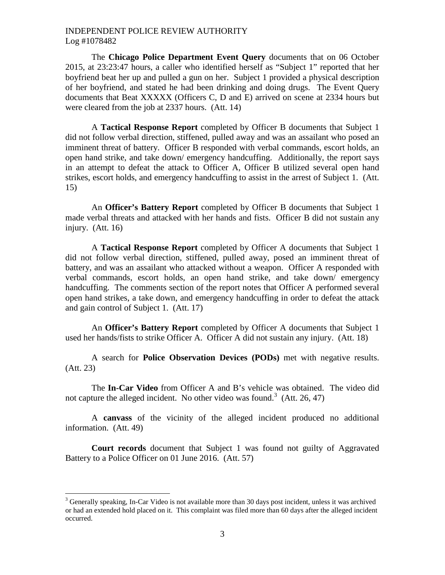The **Chicago Police Department Event Query** documents that on 06 October 2015, at 23:23:47 hours, a caller who identified herself as "Subject 1" reported that her boyfriend beat her up and pulled a gun on her. Subject 1 provided a physical description of her boyfriend, and stated he had been drinking and doing drugs. The Event Query documents that Beat XXXXX (Officers C, D and E) arrived on scene at 2334 hours but were cleared from the job at 2337 hours. (Att. 14)

A **Tactical Response Report** completed by Officer B documents that Subject 1 did not follow verbal direction, stiffened, pulled away and was an assailant who posed an imminent threat of battery. Officer B responded with verbal commands, escort holds, an open hand strike, and take down/ emergency handcuffing. Additionally, the report says in an attempt to defeat the attack to Officer A, Officer B utilized several open hand strikes, escort holds, and emergency handcuffing to assist in the arrest of Subject 1. (Att. 15)

An **Officer's Battery Report** completed by Officer B documents that Subject 1 made verbal threats and attacked with her hands and fists. Officer B did not sustain any injury. (Att. 16)

A **Tactical Response Report** completed by Officer A documents that Subject 1 did not follow verbal direction, stiffened, pulled away, posed an imminent threat of battery, and was an assailant who attacked without a weapon. Officer A responded with verbal commands, escort holds, an open hand strike, and take down/ emergency handcuffing. The comments section of the report notes that Officer A performed several open hand strikes, a take down, and emergency handcuffing in order to defeat the attack and gain control of Subject 1. (Att. 17)

An **Officer's Battery Report** completed by Officer A documents that Subject 1 used her hands/fists to strike Officer A. Officer A did not sustain any injury. (Att. 18)

A search for **Police Observation Devices (PODs)** met with negative results. (Att. 23)

The **In-Car Video** from Officer A and B's vehicle was obtained. The video did not capture the alleged incident. No other video was found.<sup>3</sup> [\(](#page-2-0)Att. 26, 47)

A **canvass** of the vicinity of the alleged incident produced no additional information. (Att. 49)

**Court records** document that Subject 1 was found not guilty of Aggravated Battery to a Police Officer on 01 June 2016. (Att. 57)

<span id="page-2-0"></span><sup>&</sup>lt;sup>3</sup> Generally speaking, In-Car Video is not available more than 30 days post incident, unless it was archived or had an extended hold placed on it. This complaint was filed more than 60 days after the alleged incident occurred.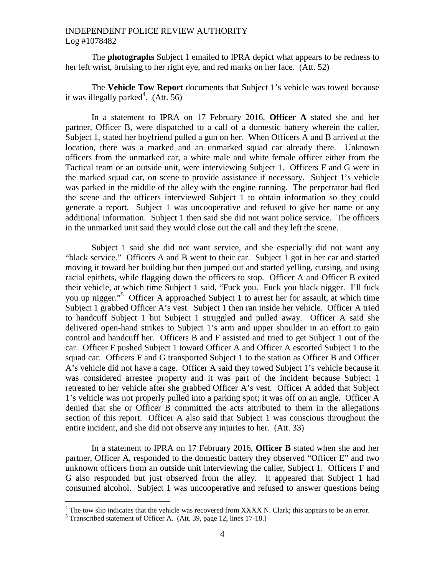The **photographs** Subject 1 emailed to IPRA depict what appears to be redness to her left wrist, bruising to her right eye, and red marks on her face. (Att. 52)

The **Vehicle Tow Report** documents that Subject 1's vehicle was towed because it was illegally parked $4$ [.](#page-3-0) (Att. 56)

In a statement to IPRA on 17 February 2016, **Officer A** stated she and her partner, Officer B, were dispatched to a call of a domestic battery wherein the caller, Subject 1, stated her boyfriend pulled a gun on her. When Officers A and B arrived at the location, there was a marked and an unmarked squad car already there. Unknown officers from the unmarked car, a white male and white female officer either from the Tactical team or an outside unit, were interviewing Subject 1. Officers F and G were in the marked squad car, on scene to provide assistance if necessary. Subject 1's vehicle was parked in the middle of the alley with the engine running. The perpetrator had fled the scene and the officers interviewed Subject 1 to obtain information so they could generate a report. Subject 1 was uncooperative and refused to give her name or any additional information. Subject 1 then said she did not want police service. The officers in the unmarked unit said they would close out the call and they left the scene.

Subject 1 said she did not want service, and she especially did not want any "black service." Officers A and B went to their car. Subject 1 got in her car and started moving it toward her building but then jumped out and started yelling, cursing, and using racial epithets, while flagging down the officers to stop. Officer A and Officer B exited their vehicle, at which time Subject 1 said, "Fuck you. Fuck you black nigger. I'll fuck you up nigger."[5](#page-3-1) Officer A approached Subject 1 to arrest her for assault, at which time Subject 1 grabbed Officer A's vest. Subject 1 then ran inside her vehicle. Officer A tried to handcuff Subject 1 but Subject 1 struggled and pulled away. Officer A said she delivered open-hand strikes to Subject 1's arm and upper shoulder in an effort to gain control and handcuff her. Officers B and F assisted and tried to get Subject 1 out of the car. Officer F pushed Subject 1 toward Officer A and Officer A escorted Subject 1 to the squad car. Officers F and G transported Subject 1 to the station as Officer B and Officer A's vehicle did not have a cage. Officer A said they towed Subject 1's vehicle because it was considered arrestee property and it was part of the incident because Subject 1 retreated to her vehicle after she grabbed Officer A's vest. Officer A added that Subject 1's vehicle was not properly pulled into a parking spot; it was off on an angle. Officer A denied that she or Officer B committed the acts attributed to them in the allegations section of this report. Officer A also said that Subject 1 was conscious throughout the entire incident, and she did not observe any injuries to her. (Att. 33)

In a statement to IPRA on 17 February 2016, **Officer B** stated when she and her partner, Officer A, responded to the domestic battery they observed "Officer E" and two unknown officers from an outside unit interviewing the caller, Subject 1. Officers F and G also responded but just observed from the alley. It appeared that Subject 1 had consumed alcohol. Subject 1 was uncooperative and refused to answer questions being

<span id="page-3-0"></span> $4$  The tow slip indicates that the vehicle was recovered from XXXX N. Clark; this appears to be an error.

<span id="page-3-1"></span><sup>5</sup> Transcribed statement of Officer A. (Att. 39, page 12, lines 17-18.)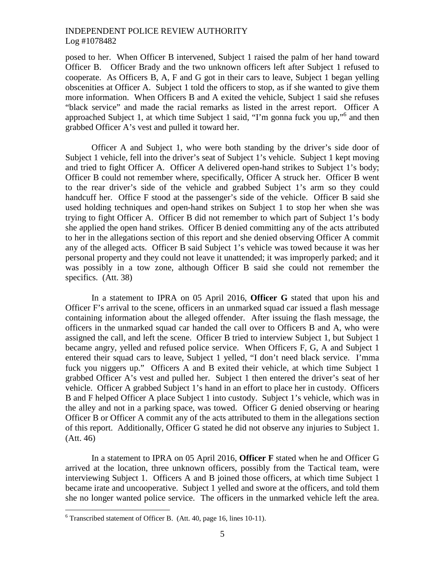posed to her. When Officer B intervened, Subject 1 raised the palm of her hand toward Officer B. Officer Brady and the two unknown officers left after Subject 1 refused to cooperate. As Officers B, A, F and G got in their cars to leave, Subject 1 began yelling obscenities at Officer A. Subject 1 told the officers to stop, as if she wanted to give them more information. When Officers B and A exited the vehicle, Subject 1 said she refuses "black service" and made the racial remarks as listed in the arrest report. Officer A approached Subject 1, at which time Subject 1 said, "I'm gonna fuck youup,"<sup>6</sup> and then grabbed Officer A's vest and pulled it toward her.

Officer A and Subject 1, who were both standing by the driver's side door of Subject 1 vehicle, fell into the driver's seat of Subject 1's vehicle. Subject 1 kept moving and tried to fight Officer A. Officer A delivered open-hand strikes to Subject 1's body; Officer B could not remember where, specifically, Officer A struck her. Officer B went to the rear driver's side of the vehicle and grabbed Subject 1's arm so they could handcuff her. Office F stood at the passenger's side of the vehicle. Officer B said she used holding techniques and open-hand strikes on Subject 1 to stop her when she was trying to fight Officer A. Officer B did not remember to which part of Subject 1's body she applied the open hand strikes. Officer B denied committing any of the acts attributed to her in the allegations section of this report and she denied observing Officer A commit any of the alleged acts. Officer B said Subject 1's vehicle was towed because it was her personal property and they could not leave it unattended; it was improperly parked; and it was possibly in a tow zone, although Officer B said she could not remember the specifics. (Att. 38)

In a statement to IPRA on 05 April 2016, **Officer G** stated that upon his and Officer F's arrival to the scene, officers in an unmarked squad car issued a flash message containing information about the alleged offender. After issuing the flash message, the officers in the unmarked squad car handed the call over to Officers B and A, who were assigned the call, and left the scene. Officer B tried to interview Subject 1, but Subject 1 became angry, yelled and refused police service. When Officers F, G, A and Subject 1 entered their squad cars to leave, Subject 1 yelled, "I don't need black service. I'mma fuck you niggers up." Officers A and B exited their vehicle, at which time Subject 1 grabbed Officer A's vest and pulled her. Subject 1 then entered the driver's seat of her vehicle. Officer A grabbed Subject 1's hand in an effort to place her in custody. Officers B and F helped Officer A place Subject 1 into custody. Subject 1's vehicle, which was in the alley and not in a parking space, was towed. Officer G denied observing or hearing Officer B or Officer A commit any of the acts attributed to them in the allegations section of this report. Additionally, Officer G stated he did not observe any injuries to Subject 1. (Att. 46)

In a statement to IPRA on 05 April 2016, **Officer F** stated when he and Officer G arrived at the location, three unknown officers, possibly from the Tactical team, were interviewing Subject 1. Officers A and B joined those officers, at which time Subject 1 became irate and uncooperative. Subject 1 yelled and swore at the officers, and told them she no longer wanted police service. The officers in the unmarked vehicle left the area.

<span id="page-4-0"></span> $6$  Transcribed statement of Officer B. (Att. 40, page 16, lines 10-11).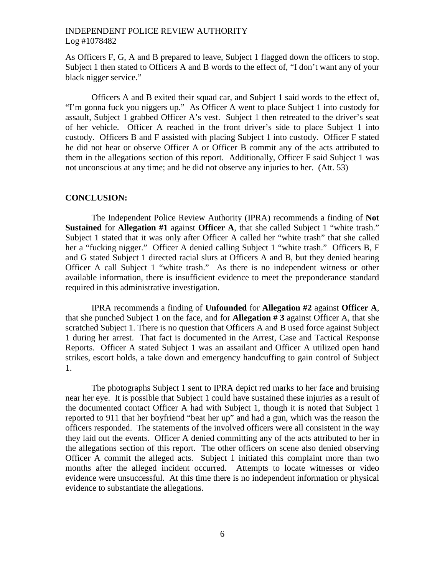As Officers F, G, A and B prepared to leave, Subject 1 flagged down the officers to stop. Subject 1 then stated to Officers A and B words to the effect of, "I don't want any of your black nigger service."

Officers A and B exited their squad car, and Subject 1 said words to the effect of, "I'm gonna fuck you niggers up." As Officer A went to place Subject 1 into custody for assault, Subject 1 grabbed Officer A's vest. Subject 1 then retreated to the driver's seat of her vehicle. Officer A reached in the front driver's side to place Subject 1 into custody. Officers B and F assisted with placing Subject 1 into custody. Officer F stated he did not hear or observe Officer A or Officer B commit any of the acts attributed to them in the allegations section of this report. Additionally, Officer F said Subject 1 was not unconscious at any time; and he did not observe any injuries to her. (Att. 53)

#### **CONCLUSION:**

The Independent Police Review Authority (IPRA) recommends a finding of **Not Sustained** for **Allegation #1** against **Officer A**, that she called Subject 1 "white trash." Subject 1 stated that it was only after Officer A called her "white trash" that she called her a "fucking nigger." Officer A denied calling Subject 1 "white trash." Officers B, F and G stated Subject 1 directed racial slurs at Officers A and B, but they denied hearing Officer A call Subject 1 "white trash." As there is no independent witness or other available information, there is insufficient evidence to meet the preponderance standard required in this administrative investigation.

IPRA recommends a finding of **Unfounded** for **Allegation #2** against **Officer A**, that she punched Subject 1 on the face, and for **Allegation # 3** against Officer A, that she scratched Subject 1. There is no question that Officers A and B used force against Subject 1 during her arrest. That fact is documented in the Arrest, Case and Tactical Response Reports. Officer A stated Subject 1 was an assailant and Officer A utilized open hand strikes, escort holds, a take down and emergency handcuffing to gain control of Subject 1.

The photographs Subject 1 sent to IPRA depict red marks to her face and bruising near her eye. It is possible that Subject 1 could have sustained these injuries as a result of the documented contact Officer A had with Subject 1, though it is noted that Subject 1 reported to 911 that her boyfriend "beat her up" and had a gun, which was the reason the officers responded. The statements of the involved officers were all consistent in the way they laid out the events. Officer A denied committing any of the acts attributed to her in the allegations section of this report. The other officers on scene also denied observing Officer A commit the alleged acts. Subject 1 initiated this complaint more than two months after the alleged incident occurred. Attempts to locate witnesses or video evidence were unsuccessful. At this time there is no independent information or physical evidence to substantiate the allegations.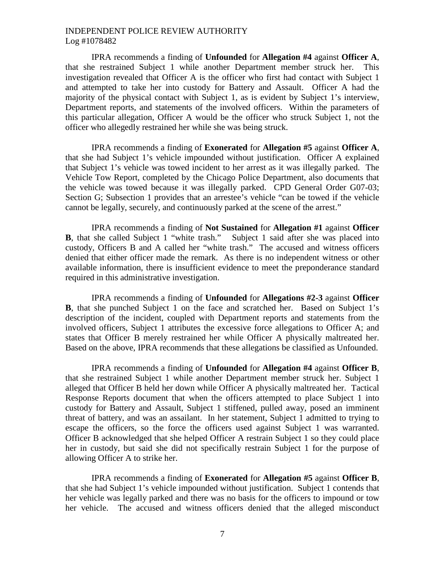IPRA recommends a finding of **Unfounded** for **Allegation #4** against **Officer A**, that she restrained Subject 1 while another Department member struck her. This investigation revealed that Officer A is the officer who first had contact with Subject 1 and attempted to take her into custody for Battery and Assault. Officer A had the majority of the physical contact with Subject 1, as is evident by Subject 1's interview, Department reports, and statements of the involved officers. Within the parameters of this particular allegation, Officer A would be the officer who struck Subject 1, not the officer who allegedly restrained her while she was being struck.

IPRA recommends a finding of **Exonerated** for **Allegation #5** against **Officer A**, that she had Subject 1's vehicle impounded without justification. Officer A explained that Subject 1's vehicle was towed incident to her arrest as it was illegally parked. The Vehicle Tow Report, completed by the Chicago Police Department, also documents that the vehicle was towed because it was illegally parked. CPD General Order G07-03; Section G; Subsection 1 provides that an arrestee's vehicle "can be towed if the vehicle cannot be legally, securely, and continuously parked at the scene of the arrest."

IPRA recommends a finding of **Not Sustained** for **Allegation #1** against **Officer B**, that she called Subject 1 "white trash." Subject 1 said after she was placed into custody, Officers B and A called her "white trash." The accused and witness officers denied that either officer made the remark. As there is no independent witness or other available information, there is insufficient evidence to meet the preponderance standard required in this administrative investigation.

IPRA recommends a finding of **Unfounded** for **Allegations #2-3** against **Officer B**, that she punched Subject 1 on the face and scratched her. Based on Subject 1's description of the incident, coupled with Department reports and statements from the involved officers, Subject 1 attributes the excessive force allegations to Officer A; and states that Officer B merely restrained her while Officer A physically maltreated her. Based on the above, IPRA recommends that these allegations be classified as Unfounded.

IPRA recommends a finding of **Unfounded** for **Allegation #4** against **Officer B**, that she restrained Subject 1 while another Department member struck her. Subject 1 alleged that Officer B held her down while Officer A physically maltreated her. Tactical Response Reports document that when the officers attempted to place Subject 1 into custody for Battery and Assault, Subject 1 stiffened, pulled away, posed an imminent threat of battery, and was an assailant. In her statement, Subject 1 admitted to trying to escape the officers, so the force the officers used against Subject 1 was warranted. Officer B acknowledged that she helped Officer A restrain Subject 1 so they could place her in custody, but said she did not specifically restrain Subject 1 for the purpose of allowing Officer A to strike her.

IPRA recommends a finding of **Exonerated** for **Allegation #5** against **Officer B**, that she had Subject 1's vehicle impounded without justification. Subject 1 contends that her vehicle was legally parked and there was no basis for the officers to impound or tow her vehicle. The accused and witness officers denied that the alleged misconduct